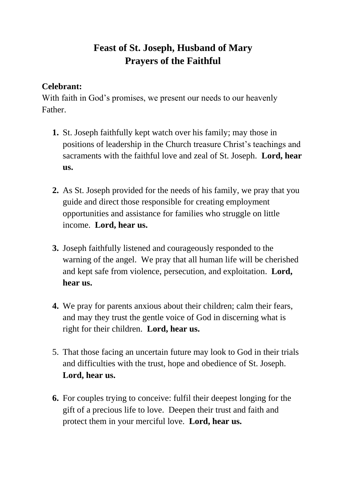## **Feast of St. Joseph, Husband of Mary Prayers of the Faithful**

## **Celebrant:**

With faith in God's promises, we present our needs to our heavenly Father.

- **1.** St. Joseph faithfully kept watch over his family; may those in positions of leadership in the Church treasure Christ's teachings and sacraments with the faithful love and zeal of St. Joseph. **Lord, hear us.**
- **2.** As St. Joseph provided for the needs of his family, we pray that you guide and direct those responsible for creating employment opportunities and assistance for families who struggle on little income. **Lord, hear us.**
- **3.** Joseph faithfully listened and courageously responded to the warning of the angel. We pray that all human life will be cherished and kept safe from violence, persecution, and exploitation. **Lord, hear us.**
- **4.** We pray for parents anxious about their children; calm their fears, and may they trust the gentle voice of God in discerning what is right for their children. **Lord, hear us.**
- 5. That those facing an uncertain future may look to God in their trials and difficulties with the trust, hope and obedience of St. Joseph. **Lord, hear us.**
- **6.** For couples trying to conceive: fulfil their deepest longing for the gift of a precious life to love. Deepen their trust and faith and protect them in your merciful love. **Lord, hear us.**